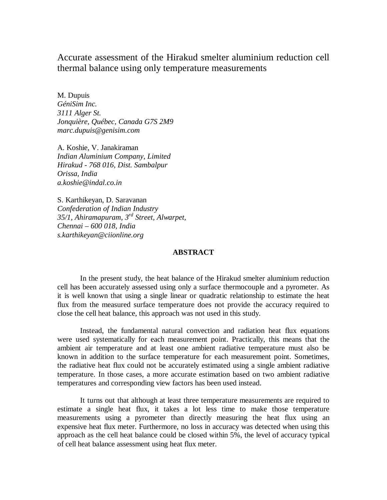# Accurate assessment of the Hirakud smelter aluminium reduction cell thermal balance using only temperature measurements

M. Dupuis *GéniSim Inc. 3111 Alger St. Jonquière, Québec, Canada G7S 2M9 marc.dupuis@genisim.com* 

A. Koshie, V. Janakiraman *Indian Aluminium Company, Limited Hirakud - 768 016, Dist. Sambalpur Orissa, India a.koshie@indal.co.in* 

S. Karthikeyan, D. Saravanan *Confederation of Indian Industry 35/1, Ahiramapuram, 3rd Street, Alwarpet, Chennai – 600 018, India s.karthikeyan@ciionline.org* 

## **ABSTRACT**

In the present study, the heat balance of the Hirakud smelter aluminium reduction cell has been accurately assessed using only a surface thermocouple and a pyrometer. As it is well known that using a single linear or quadratic relationship to estimate the heat flux from the measured surface temperature does not provide the accuracy required to close the cell heat balance, this approach was not used in this study.

Instead, the fundamental natural convection and radiation heat flux equations were used systematically for each measurement point. Practically, this means that the ambient air temperature and at least one ambient radiative temperature must also be known in addition to the surface temperature for each measurement point. Sometimes, the radiative heat flux could not be accurately estimated using a single ambient radiative temperature. In those cases, a more accurate estimation based on two ambient radiative temperatures and corresponding view factors has been used instead.

It turns out that although at least three temperature measurements are required to estimate a single heat flux, it takes a lot less time to make those temperature measurements using a pyrometer than directly measuring the heat flux using an expensive heat flux meter. Furthermore, no loss in accuracy was detected when using this approach as the cell heat balance could be closed within 5%, the level of accuracy typical of cell heat balance assessment using heat flux meter.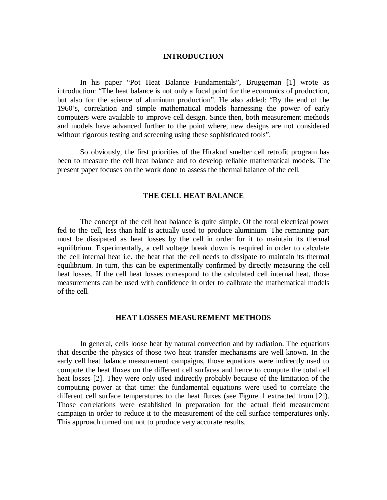## **INTRODUCTION**

In his paper "Pot Heat Balance Fundamentals", Bruggeman [1] wrote as introduction: "The heat balance is not only a focal point for the economics of production, but also for the science of aluminum production". He also added: "By the end of the 1960's, correlation and simple mathematical models harnessing the power of early computers were available to improve cell design. Since then, both measurement methods and models have advanced further to the point where, new designs are not considered without rigorous testing and screening using these sophisticated tools".

So obviously, the first priorities of the Hirakud smelter cell retrofit program has been to measure the cell heat balance and to develop reliable mathematical models. The present paper focuses on the work done to assess the thermal balance of the cell.

#### **THE CELL HEAT BALANCE**

The concept of the cell heat balance is quite simple. Of the total electrical power fed to the cell, less than half is actually used to produce aluminium. The remaining part must be dissipated as heat losses by the cell in order for it to maintain its thermal equilibrium. Experimentally, a cell voltage break down is required in order to calculate the cell internal heat i.e. the heat that the cell needs to dissipate to maintain its thermal equilibrium. In turn, this can be experimentally confirmed by directly measuring the cell heat losses. If the cell heat losses correspond to the calculated cell internal heat, those measurements can be used with confidence in order to calibrate the mathematical models of the cell.

### **HEAT LOSSES MEASUREMENT METHODS**

In general, cells loose heat by natural convection and by radiation. The equations that describe the physics of those two heat transfer mechanisms are well known. In the early cell heat balance measurement campaigns, those equations were indirectly used to compute the heat fluxes on the different cell surfaces and hence to compute the total cell heat losses [2]. They were only used indirectly probably because of the limitation of the computing power at that time: the fundamental equations were used to correlate the different cell surface temperatures to the heat fluxes (see Figure 1 extracted from [2]). Those correlations were established in preparation for the actual field measurement campaign in order to reduce it to the measurement of the cell surface temperatures only. This approach turned out not to produce very accurate results.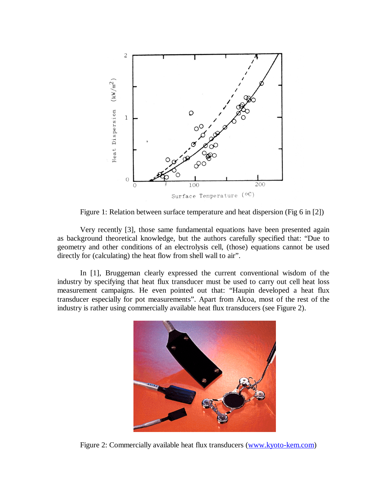

Figure 1: Relation between surface temperature and heat dispersion (Fig 6 in [2])

Very recently [3], those same fundamental equations have been presented again as background theoretical knowledge, but the authors carefully specified that: "Due to geometry and other conditions of an electrolysis cell, (those) equations cannot be used directly for (calculating) the heat flow from shell wall to air".

In [1], Bruggeman clearly expressed the current conventional wisdom of the industry by specifying that heat flux transducer must be used to carry out cell heat loss measurement campaigns. He even pointed out that: "Haupin developed a heat flux transducer especially for pot measurements". Apart from Alcoa, most of the rest of the industry is rather using commercially available heat flux transducers (see Figure 2).



Figure 2: Commercially available heat flux transducers (www.kyoto-kem.com)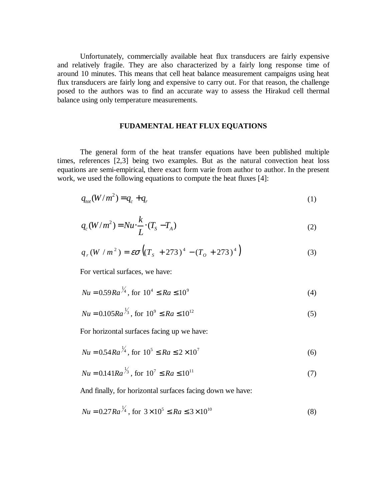Unfortunately, commercially available heat flux transducers are fairly expensive and relatively fragile. They are also characterized by a fairly long response time of around 10 minutes. This means that cell heat balance measurement campaigns using heat flux transducers are fairly long and expensive to carry out. For that reason, the challenge posed to the authors was to find an accurate way to assess the Hirakud cell thermal balance using only temperature measurements.

## **FUDAMENTAL HEAT FLUX EQUATIONS**

The general form of the heat transfer equations have been published multiple times, references [2,3] being two examples. But as the natural convection heat loss equations are semi-empirical, there exact form varie from author to author. In the present work, we used the following equations to compute the heat fluxes [4]:

$$
q_{tot}(W/m^2) = q_c + q_r \tag{1}
$$

$$
q_c(W/m^2) = Nu \cdot \frac{k}{L} \cdot (T_s - T_A)
$$
\n<sup>(2)</sup>

$$
q_r(W/m^2) = \varepsilon \sigma \left( (T_s + 273)^4 - (T_o + 273)^4 \right)
$$
 (3)

For vertical surfaces, we have:

 $\overline{11}$ 

$$
Nu = 0.59 Ra^{\frac{1}{4}}, \text{ for } 10^4 \leq Ra \leq 10^9 \tag{4}
$$

$$
Nu = 0.105Ra^{\frac{1}{3}}, \text{ for } 10^9 \le Ra \le 10^{12} \tag{5}
$$

For horizontal surfaces facing up we have:

$$
Nu = 0.54 Ra^{\frac{1}{4}}, \text{ for } 10^5 \le Ra \le 2 \times 10^7 \tag{6}
$$

$$
Nu = 0.141Ra^{\frac{1}{3}}, \text{ for } 10^7 \le Ra \le 10^{11} \tag{7}
$$

And finally, for horizontal surfaces facing down we have:

$$
Nu = 0.27 Ra^{\frac{1}{4}}, \text{ for } 3 \times 10^5 \leq Ra \leq 3 \times 10^{10}
$$
 (8)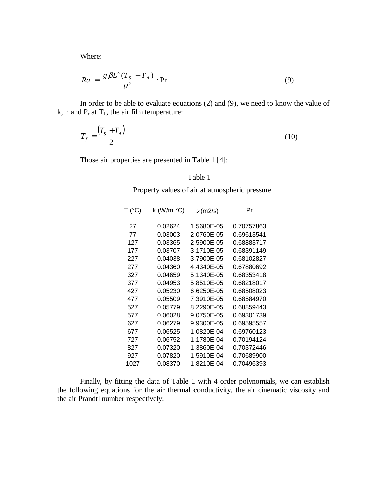Where:

$$
Ra = \frac{g\beta L^3 (T_s - T_A)}{v^2} \cdot \text{Pr}
$$
 (9)

In order to be able to evaluate equations (2) and (9), we need to know the value of k,  $\nu$  and  $P_r$  at  $T_f$ , the air film temperature:

$$
T_f = \frac{\left(T_s + T_A\right)}{2} \tag{10}
$$

Those air properties are presented in Table 1 [4]:

## Table 1

Property values of air at atmospheric pressure

| T (°C) | k (W/m $\degree$ C) | $v$ (m2/s) | Pr         |
|--------|---------------------|------------|------------|
| 27     | 0.02624             | 1.5680E-05 | 0.70757863 |
| 77     | 0.03003             | 2.0760E-05 | 0.69613541 |
| 127    | 0.03365             | 2.5900E-05 | 0.68883717 |
| 177    | 0.03707             | 3.1710E-05 | 0.68391149 |
| 227    | 0.04038             | 3.7900E-05 | 0.68102827 |
| 277    | 0.04360             | 4.4340E-05 | 0.67880692 |
| 327    | 0.04659             | 5.1340E-05 | 0.68353418 |
| 377    | 0.04953             | 5.8510E-05 | 0.68218017 |
| 427    | 0.05230             | 6.6250E-05 | 0.68508023 |
| 477    | 0.05509             | 7.3910E-05 | 0.68584970 |
| 527    | 0.05779             | 8.2290E-05 | 0.68859443 |
| 577    | 0.06028             | 9.0750E-05 | 0.69301739 |
| 627    | 0.06279             | 9.9300E-05 | 0.69595557 |
| 677    | 0.06525             | 1.0820E-04 | 0.69760123 |
| 727    | 0.06752             | 1.1780E-04 | 0.70194124 |
| 827    | 0.07320             | 1.3860E-04 | 0.70372446 |
| 927    | 0.07820             | 1.5910E-04 | 0.70689900 |
| 1027   | 0.08370             | 1.8210E-04 | 0.70496393 |

Finally, by fitting the data of Table 1 with 4 order polynomials, we can establish the following equations for the air thermal conductivity, the air cinematic viscosity and the air Prandtl number respectively: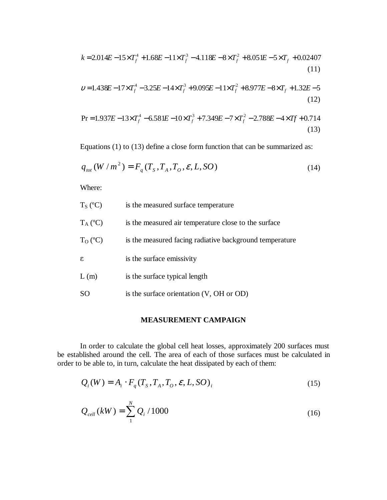$$
k = 2.014E - 15 \times T_f^4 + 1.68E - 11 \times T_f^3 - 4.118E - 8 \times T_f^2 + 8.051E - 5 \times T_f + 0.02407
$$
\n
$$
(11)
$$

$$
v = 1.438E - 17 \times T_f^4 - 3.25E - 14 \times T_f^3 + 9.095E - 11 \times T_f^2 + 8.977E - 8 \times T_f + 1.32E - 5
$$
\n
$$
(12)
$$

$$
\Pr = 1.937E - 13 \times T_f^4 - 6.581E - 10 \times T_f^3 + 7.349E - 7 \times T_f^2 - 2.788E - 4 \times Tf + 0.714
$$
\n(13)

Equations (1) to (13) define a close form function that can be summarized as:

$$
q_{\text{tot}}(W/m^2) = F_q(T_s, T_A, T_o, \varepsilon, L, SO)
$$
\n(14)

Where:

- $T<sub>S</sub>$  (°C) is the measured surface temperature
- $T_A (°C)$  is the measured air temperature close to the surface
- $T<sub>O</sub> (°C)$  is the measured facing radiative background temperature
- $\epsilon$  is the surface emissivity
- L (m) is the surface typical length
- SO is the surface orientation (V, OH or OD)

## **MEASUREMENT CAMPAIGN**

In order to calculate the global cell heat losses, approximately 200 surfaces must be established around the cell. The area of each of those surfaces must be calculated in order to be able to, in turn, calculate the heat dissipated by each of them:

$$
Q_i(W) = A_i \cdot F_q(T_s, T_A, T_o, \varepsilon, L, SO)_i
$$
\n
$$
(15)
$$

$$
Q_{cell}(kW) = \sum_{1}^{N} Q_i / 1000
$$
 (16)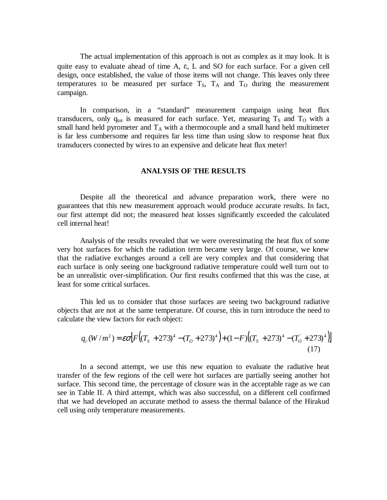The actual implementation of this approach is not as complex as it may look. It is quite easy to evaluate ahead of time A,  $\varepsilon$ , L and SO for each surface. For a given cell design, once established, the value of those items will not change. This leaves only three temperatures to be measured per surface  $T<sub>S</sub>$ ,  $T<sub>A</sub>$  and  $T<sub>O</sub>$  during the measurement campaign.

In comparison, in a "standard" measurement campaign using heat flux transducers, only  $q_{tot}$  is measured for each surface. Yet, measuring  $T_s$  and  $T_0$  with a small hand held pyrometer and  $T_A$  with a thermocouple and a small hand held multimeter is far less cumbersome and requires far less time than using slow to response heat flux transducers connected by wires to an expensive and delicate heat flux meter!

### **ANALYSIS OF THE RESULTS**

Despite all the theoretical and advance preparation work, there were no guarantees that this new measurement approach would produce accurate results. In fact, our first attempt did not; the measured heat losses significantly exceeded the calculated cell internal heat!

Analysis of the results revealed that we were overestimating the heat flux of some very hot surfaces for which the radiation term became very large. Of course, we knew that the radiative exchanges around a cell are very complex and that considering that each surface is only seeing one background radiative temperature could well turn out to be an unrealistic over-simplification. Our first results confirmed that this was the case, at least for some critical surfaces.

This led us to consider that those surfaces are seeing two background radiative objects that are not at the same temperature. Of course, this in turn introduce the need to calculate the view factors for each object:

$$
q_r(W/m^2) = \varepsilon \sigma \Big[ F\Big((T_s + 273)^4 - (T_o + 273)^4\Big) + (1 - F)\Big((T_s + 273)^4 - (T_o + 273)^4\Big) \Big]
$$
\n(17)

In a second attempt, we use this new equation to evaluate the radiative heat transfer of the few regions of the cell were hot surfaces are partially seeing another hot surface. This second time, the percentage of closure was in the acceptable rage as we can see in Table II. A third attempt, which was also successful, on a different cell confirmed that we had developed an accurate method to assess the thermal balance of the Hirakud cell using only temperature measurements.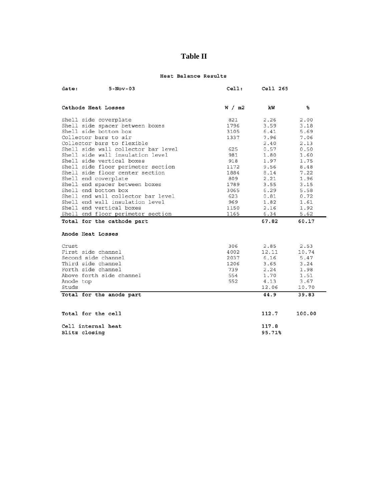## **Table II**

#### Heat Balance Results

| date:                 | $5 - Nov - 03$                      | ceil:  | Cell 265 |        |
|-----------------------|-------------------------------------|--------|----------|--------|
|                       |                                     |        |          |        |
|                       | Cathode Heat Losses                 | W / m2 | kW       | ℁      |
|                       | Shell side coverplate               | 821    | 2.26     | 2.00   |
|                       | Shell side spacer between boxes     | 1796   | 3.59     | 3.18   |
|                       | Shell side bottom box               | 3105   | 6.41     | 5.69   |
| Collector bars to air |                                     | 1337   | 7.96     | 7.06   |
|                       | Collector bars to flexible          |        | 2.40     | 2.13   |
|                       | Shell side wall collector bar level | 625    | 0.57     | 0.50   |
|                       | Shell side wall insulation level    | 981    | 1.80     | 1.60   |
|                       | Shell side vertical boxes           | 918    | 1.97     | 1.75   |
|                       | Shell side floor perimeter section  | 1172   | 9.56     | 8.48   |
|                       | Shell side floor center section     | 1884   | 8.14     | 7.22   |
|                       | Shell end coverplate                | 809    | 2.21     | 1.96   |
|                       | Shell end spacer between boxes      | 1789   | 3.55     | 3.15   |
|                       | Shell end bottom box                | 3065   | 6.29     | 5.58   |
|                       | Shell end wall collector bar level  | 623    | 0.81     | 0.72   |
|                       | Shell end wall insulation level     | 969    | 1.82     | 1.61   |
|                       | Shell end vertical boxes            | 1150   | 2.16     | 1.92   |
|                       | Shell end floor perimeter section   | 1165   | 6.34     | 5.62   |
|                       | Total for the cathode part          |        | 67.82    | 60.17  |
|                       | Anode Heat Losses                   |        |          |        |
| Crust                 |                                     | 306    | 2.85     | 2.53   |
|                       | First side channel                  | 4002   | 12.11    | 10.74  |
|                       | Second side channel                 | 2037   | 6.16     | 5.47   |
|                       | Third side channel                  | 1206   | 3.65     | 3.24   |
|                       | Forth side channel                  | 739    | 2.24     | 1.98   |
|                       | Above forth side channel            | 554    | 1.70     | 1.51   |
| Anode top             |                                     | 552    | 4.13     | 3.67   |
| Studs                 |                                     |        | 12.06    | 10.70  |
|                       | Total for the anode part            |        | 44.9     | 39.83  |
|                       |                                     |        |          |        |
|                       | Total for the cell                  |        | 112.7    | 100.00 |
|                       | Cell internal heat                  |        | 117.8    |        |
|                       | Blitz closing                       |        | 95.71%   |        |